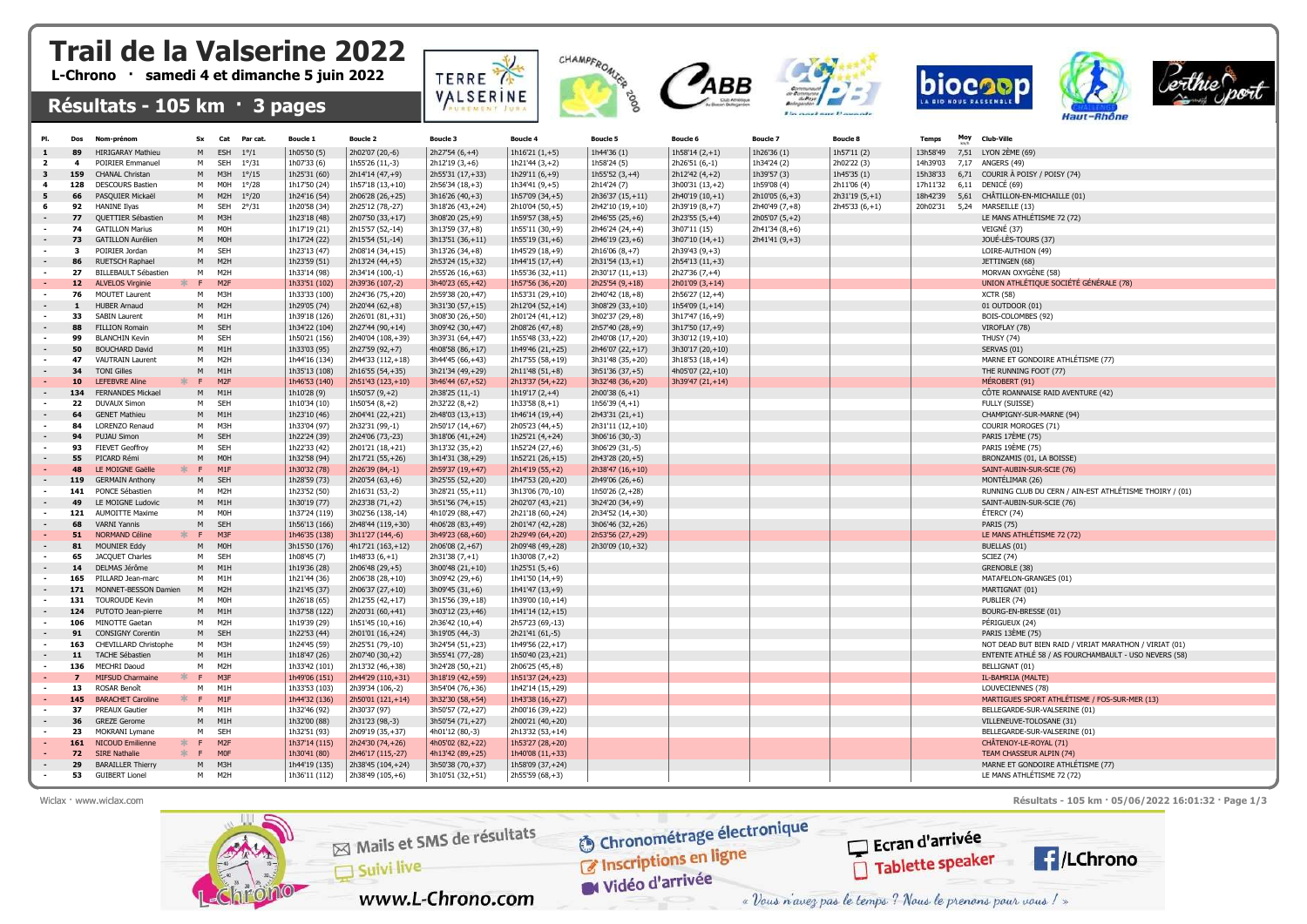## Trail de la Valserine 2022

L-Chrono · samedi 4 et dimanche 5 juin 2022

## Résultats - 105 km · 3 pages

|                | Dos            | Nom-prénom                                       | <b>Sx</b>      | Cat Parcat.                        | <b>Boucle 1</b>              | <b>Boucle 2</b>                     | <b>Boucle 3</b>                      | Boucle 4                            | <b>Boucle 5</b>                     | Boucle 6                          | <b>Boucle 7</b> | <b>Boucle 8</b> | <b>Temps</b> | <b>Moy</b> | Club-Ville                                              |
|----------------|----------------|--------------------------------------------------|----------------|------------------------------------|------------------------------|-------------------------------------|--------------------------------------|-------------------------------------|-------------------------------------|-----------------------------------|-----------------|-----------------|--------------|------------|---------------------------------------------------------|
|                |                | <b>HIRIGARAY Mathieu</b>                         |                | <b>ESH</b><br>$1^{\circ}/1$        | 1h05'50 (5)                  | 2h02'07 (20,-6)                     | $2h27'54(6,+4)$                      | $1h16'21(1,+5)$                     | 1h44'36 (1)                         | $1h58'14(2,+1)$                   | 1h26'36 (1)     | 1h57'11 (2)     | 13h58'49     |            | 7,51 LYON 2ÈME (69)                                     |
| $\overline{ }$ |                | <b>POIRIER Emmanuel</b>                          | м              | <b>SEH</b><br>$1^{\circ}/31$       | 1h07'33 (6)                  | 1h55'26 (11,-3)                     | $2h12'19(3,+6)$                      | $1h21'44(3,+2)$                     | 1h58'24 (5)                         | 2h26'51 (6,-1)                    | 1h34'24 (2)     | 2h02'22 (3)     | 14h39'03     |            | 7.17 ANGERS (49)                                        |
|                | 159            | CHANAL Christan                                  | M              | $1^{\circ}/15$<br>M3H              | 1h25'31 (60)                 | 2h14'14 (47,+9)                     | 2h55'31 (17,+33)                     | 1h29'11 $(6, +9)$                   | 1h55'52 $(3, +4)$                   | 2h12'42 (4,+2)                    | 1h39'57 (3)     | 1h45'35 (1)     | 15h38'33     | 6,71       | COURIR À POISY / POISY (74)                             |
|                | 128            | <b>DESCOURS Bastien</b>                          | м              | M0H<br>$1^{\circ}/28$              | 1h17'50 (24)                 | 1h57'18 (13,+10)                    | 2h56'34 (18,+3)                      | 1h34'41 (9,+5)                      | 2h14'24 (7)                         | 3h00'31 (13,+2)                   | 1h59'08 (4)     | 2h11'06 (4)     | 17h11'32     | 6,11       | DENICÉ (69)                                             |
|                | 66             | PASQUIER Mickaël                                 | M              | M <sub>2</sub> H<br>$1^{\circ}/20$ | 1h24'16 (54)                 | 2h06'28 (26,+25)                    | 3h16'26 (40,+3)                      | 1h57'09 (34,+5)                     | 2h36'37 (15,+11)                    | 2h40'19 (10,+1)                   | 2h10'05 (6,+3)  | $2h31'19(5,+1)$ | 18h42'39     | 5,61       | CHÂTILLON-EN-MICHAILLE (01)                             |
| -6             | 92             | <b>HANINE Ilyas</b>                              | м              | SEH<br>$2^{\circ}/31$              | 1h20'58 (34)                 | 2h25'12 (78,-27)                    | 3h18'26 (43,+24)                     | 2h10'04 (50,+5)                     | 2h42'10 (19,+10)                    | 2h39'19 (8,+7)                    | 2h40'49 (7,+8)  | $2h45'33(6,+1)$ | 20h02'31     | 5,24       | MARSEILLE (13)                                          |
|                | 77             | <b>OUETTIER Sébastien</b>                        | M <sub>1</sub> | M3H                                | 1h23'18 (48)                 | 2h07'50 (33,+17)                    | 3h08'20 (25,+9)                      | $1h59'57(38,+5)$                    | 2h46'55 (25,+6)                     | $2h23'55(5,+4)$                   | 2h05'07 (5,+2)  |                 |              |            | LE MANS ATHLÉTISME 72 (72)                              |
|                | 74             | <b>GATILLON Marius</b>                           | м              | <b>MOH</b>                         | 1h17'19 (21)                 | 2h15'57 (52,-14)                    | 3h13'59 (37,+8)                      | 1h55'11 (30,+9)                     | 2h46'24 (24,+4)                     | 3h07'11 (15)                      | $2h41'34(8,+6)$ |                 |              |            | VEIGNÉ (37)                                             |
|                | 73             | <b>GATILLON Aurélien</b>                         | M              | <b>MOH</b>                         | 1h17'24 (22)                 | 2h15'54 (51,-14)                    | 3h13'51 (36,+11)                     | $1h55'19(31,+6)$                    | 2h46'19 (23,+6)                     | 3h07'10 (14,+1)                   | 2h41'41 (9,+3)  |                 |              |            | JOUÉ-LÈS-TOURS (37)                                     |
|                | 3              | POIRIER Jordan                                   | M              | SEH                                | 1h23'13 (47)                 | 2h08'14 (34,+15)                    | 3h13'26 (34,+8)                      | 1h45'29 (18,+9)                     |                                     | $2h39'43(9, +3)$                  |                 |                 |              |            | LOIRE-AUTHION (49)                                      |
|                | 86             |                                                  |                | M <sub>2</sub> H                   |                              |                                     |                                      |                                     | 2h16'06 (8,+7)                      |                                   |                 |                 |              |            |                                                         |
|                | -27            | <b>RUETSCH Raphael</b><br>BILLEBAULT Sébastien   | M<br>М         | M2H                                | 1h23'59 (51)<br>1h33'14 (98) | 2h13'24 (44,+5)<br>2h34'14 (100,-1) | 2h53'24 (15,+32)                     | 1h44'15 (17,+4)<br>1h55'36 (32,+11) | $2h31'54(13,+1)$                    | 2h54'13 (11,+3)                   |                 |                 |              |            | JETTINGEN (68)<br>MORVAN OXYGÈNE (58)                   |
|                | 12             |                                                  | F.             | M <sub>2F</sub>                    | 1h33'51 (102)                | 2h39'36 (107,-2)                    | 2h55'26 (16,+63)<br>3h40'23 (65,+42) | 1h57'56 (36,+20)                    | 2h30'17 (11,+13)                    | 2h27'36 (7,+4)<br>2h01'09 (3,+14) |                 |                 |              |            | UNION ATHLÉTIQUE SOCIÉTÉ GÉNÉRALE (78)                  |
|                | 76             | <b>ALVELOS Virginie</b><br><b>MOUTET Laurent</b> | М              | M3H                                | 1h33'33 (100)                | 2h24'36 (75,+20)                    | 2h59'38 (20,+47)                     | 1h53'31 (29,+10)                    | $2h25'54(9,+18)$<br>2h40'42 (18,+8) | 2h56'27 (12,+4)                   |                 |                 |              |            | <b>XCTR (58)</b>                                        |
|                |                | <b>HUBER Arnaud</b>                              | M              | M <sub>2</sub> H                   | 1h29'05 (74)                 | 2h20'44 (62,+8)                     |                                      |                                     |                                     |                                   |                 |                 |              |            | 01 OUTDOOR (01)                                         |
|                |                |                                                  |                | M <sub>1</sub> H                   |                              |                                     | 3h31'30 (57,+15)                     | 2h12'04 (52,+14)                    | 3h08'29 (33,+10)                    | $1h54'09(1,+14)$                  |                 |                 |              |            |                                                         |
|                | 33             | <b>SABIN Laurent</b>                             | M              |                                    | 1h39'18 (126)                | 2h26'01 (81,+31)                    | 3h08'30 (26,+50)                     | 2h01'24 (41,+12)                    | 3h02'37 (29,+8)                     | 3h17'47 (16,+9)                   |                 |                 |              |            | BOIS-COLOMBES (92)                                      |
|                | 88             | FILLION Romain                                   | M              | <b>SEH</b>                         | 1h34'22 (104)                | 2h27'44 (90,+14)                    | 3h09'42 (30,+47)                     | 2h08'26 (47,+8)                     | 2h57'40 (28,+9)                     | 3h17'50 (17,+9)                   |                 |                 |              |            | VIROFLAY (78)                                           |
|                | 99             | <b>BLANCHIN Kevin</b>                            | м              | SEH                                | 1h50'21 (156)                | 2h40'04 (108,+39)                   | 3h39'31 (64,+47)                     | 1h55'48 (33,+22)                    | 2h40'08 (17,+20)                    | 3h30'12 (19,+10)                  |                 |                 |              |            | <b>THUSY (74)</b>                                       |
|                | 50             | <b>BOUCHARD David</b>                            | M              | M1H                                | 1h33'03 (95)                 | 2h27'59 (92,+7)                     | 4h08'58 (86,+17)                     | 1h49'46 (21,+25)                    | 2h46'07 (22,+17)                    | 3h30'17 (20,+10)                  |                 |                 |              |            | SERVAS (01)                                             |
|                | 47             | <b>VAUTRAIN Laurent</b>                          | м              | M2H                                | 1h44'16 (134)                | 2h44'33 (112,+18)                   | 3h44'45 (66,+43)                     | 2h17'55 (58,+19)                    | 3h31'48 (35,+20)                    | 3h18'53 (18,+14)                  |                 |                 |              |            | MARNE ET GONDOIRE ATHLÉTISME (77)                       |
|                | 34             | <b>TONI Gilles</b>                               | M              | M <sub>1</sub> H                   | 1h35'13 (108)                | 2h16'55 (54,+35)                    | 3h21'34 (49,+29)                     | 2h11'48 (51,+8)                     | 3h51'36 (37,+5)                     | 4h05'07 (22,+10)                  |                 |                 |              |            | THE RUNNING FOOT (77)                                   |
|                | 10             | <b>LEFEBVRE Aline</b><br>$\mathbf{R}$            | E.             | M <sub>2F</sub>                    | 1h46'53 (140)                | 2h51'43 (123,+10)                   | 3h46'44 (67,+52)                     | 2h13'37 (54,+22)                    | 3h32'48 (36,+20)                    | 3h39'47 (21,+14)                  |                 |                 |              |            | MÉROBERT (91)                                           |
|                | 134            | <b>FERNANDES Mickael</b>                         | M              | M1H                                | 1h10'28 (9)                  | $1h50'57(9,+2)$                     | 2h38'25 (11,-1)                      | 1h19'17 $(2, +4)$                   | $2h00'38(6,+1)$                     |                                   |                 |                 |              |            | CÖTE ROANNAISE RAID AVENTURE (42)                       |
|                | - 22           | <b>DUVAUX Simon</b>                              | м              | SEH                                | 1h10'34 (10)                 | $1h50'54(8,+2)$                     | 2h32'22 (8,+2)                       | $1h33'58(8,+1)$                     | 1h56'39 $(4, +1)$                   |                                   |                 |                 |              |            | FULLY (SUISSE)                                          |
|                | 64             | <b>GENET Mathieu</b>                             | M              | M1H                                | 1h23'10 (46)                 | 2h04'41 (22,+21)                    | 2h48'03 (13,+13)                     | 1h46'14 (19,+4)                     | 2h43'31 (21,+1)                     |                                   |                 |                 |              |            | CHAMPIGNY-SUR-MARNE (94)                                |
|                | 84             | LORENZO Renaud                                   | м              | M3H                                | 1h33'04 (97)                 | 2h32'31 (99,-1)                     | 2h50'17 (14,+67)                     | 2h05'23 (44,+5)                     | 2h31'11 (12,+10)                    |                                   |                 |                 |              |            | COURIR MOROGES (71)                                     |
|                | 94             | <b>PUJAU Simon</b>                               | M              | SEH                                | 1h22'24 (39)                 | 2h24'06 (73,-23)                    | 3h18'06 (41,+24)                     | 1h25'21 (4,+24)                     | 3h06'16 (30,-3)                     |                                   |                 |                 |              |            | <b>PARIS 17ÈME (75)</b>                                 |
|                | 93             | <b>FIEVET Geoffroy</b>                           | M              | SEH                                | 1h22'33 (42)                 | 2h01'21 (18,+21)                    | 3h13'32 (35,+2)                      | 1h52'24 (27,+6)                     | 3h06'29 (31,-5)                     |                                   |                 |                 |              |            | PARIS 19ÈME (75)                                        |
|                | 55             | PICARD Rémi                                      | M              | <b>MOH</b>                         | 1h32'58 (94)                 | 2h17'21 (55,+26)                    | 3h14'31 (38,+29)                     | 1h52'21 (26,+15)                    | 2h43'28 (20,+5)                     |                                   |                 |                 |              |            | BRONZAMIS (01, LA BOISSE)                               |
|                | 48             | LE MOIGNE Gaëlle<br>ole i                        | F              | M1F                                | 1h30'32 (78)                 | 2h26'39 (84,-1)                     | 2h59'37 (19,+47)                     | 2h14'19 (55,+2)                     | 2h38'47 (16,+10)                    |                                   |                 |                 |              |            | SAINT-AUBIN-SUR-SCIE (76)                               |
|                | 119            | <b>GERMAIN Anthony</b>                           | M              | SEH                                | 1h28'59 (73)                 | 2h20'54 (63,+6)                     | 3h25'55 (52,+20)                     | 1h47'53 (20,+20)                    | 2h49'06 (26,+6)                     |                                   |                 |                 |              |            | MONTÉLIMAR (26)                                         |
|                | 141            | PONCE Sébastien                                  | М              | M2H                                | 1h23'52 (50)                 | 2h16'31 (53,-2)                     | 3h28'21 (55,+11)                     | 3h13'06 (70,-10)                    | 1h50'26 (2,+28)                     |                                   |                 |                 |              |            | RUNNING CLUB DU CERN / AIN-EST ATHLÉTISME THOIRY / (01) |
|                | 49             | LE MOIGNE Ludovic                                | M              | M1H                                | 1h30'19 (77)                 | 2h23'38 (71,+2)                     | 3h51'56 (74,+15)                     | 2h02'07 (43,+21)                    | 3h24'20 (34,+9)                     |                                   |                 |                 |              |            | SAINT-AUBIN-SUR-SCIE (76)                               |
|                | 121            | <b>AUMOITTE Maxime</b>                           | м              | M <sub>OH</sub>                    | 1h37'24 (119)                | 3h02'56 (138,-14)                   | 4h10'29 (88,+47)                     | 2h21'18 (60,+24)                    | 2h34'52 (14,+30)                    |                                   |                 |                 |              |            | ÉTERCY (74)                                             |
|                | 68             | <b>VARNI Yannis</b>                              | M              | SEH                                | 1h56'13 (166)                | 2h48'44 (119,+30)                   | 4h06'28 (83,+49)                     | 2h01'47 (42,+28)                    | 3h06'46 (32,+26)                    |                                   |                 |                 |              |            | <b>PARIS (75)</b>                                       |
|                | 51             | <b>NORMAND Céline</b>                            | $* F$          | M3F                                | 1h46'35 (138)                | 3h11'27 (144,-6)                    | 3h49'23 (68,+60)                     | 2h29'49 (64,+20)                    | 2h53'56 (27,+29)                    |                                   |                 |                 |              |            | LE MANS ATHLÉTISME 72 (72)                              |
|                | 81             | <b>MOUNIER Eddy</b>                              | M              | <b>MOH</b>                         | 3h15'50 (176)                | 4h17'21 (163,+12)                   | 2h06'08 (2,+67)                      | 2h09'48 (49,+28)                    | 2h30'09 (10,+32)                    |                                   |                 |                 |              |            | BUELLAS (01)                                            |
|                | 65             | JACQUET Charles                                  | м              | SEH                                | 1h08'45 (7)                  | $1h48'33(6,+1)$                     | $2h31'38(7,+1)$                      | 1h30'08 $(7,+2)$                    |                                     |                                   |                 |                 |              |            | <b>SCIEZ</b> (74)                                       |
|                | 14             | DELMAS Jérôme                                    | M              | M1H                                | 1h19'36 (28)                 | 2h06'48 (29,+5)                     | 3h00'48 (21,+10)                     | 1h25'51 $(5, +6)$                   |                                     |                                   |                 |                 |              |            | GRENOBLE (38)                                           |
| $\sim$         | 165            | PILLARD Jean-marc                                | M              | M1H                                | 1h21'44 (36)                 | 2h06'38 (28,+10)                    | 3h09'42 (29,+6)                      | 1h41'50 (14,+9)                     |                                     |                                   |                 |                 |              |            | MATAFELON-GRANGES (01)                                  |
|                | 171            | MONNET-BESSON Damien                             | M              | M <sub>2</sub> H                   | 1h21'45 (37)                 | 2h06'37 (27,+10)                    | 3h09'45 (31,+6)                      | 1h41'47 (13,+9)                     |                                     |                                   |                 |                 |              |            | MARTIGNAT (01)                                          |
|                | 131            | <b>TOUROUDE Kevin</b>                            | M              | <b>MOH</b>                         | 1h26'18 (65)                 | 2h12'55 (42,+17)                    | 3h15'56 (39,+18)                     | 1h39'00 (10,+14)                    |                                     |                                   |                 |                 |              |            | PUBLIER (74)                                            |
|                | 124            | PUTOTO Jean-pierre                               | M <sub>1</sub> | M <sub>1</sub> H                   | 1h37'58 (122)                | 2h20'31 (60,+41)                    | 3h03'12 (23,+46)                     | 1h41'14 (12,+15)                    |                                     |                                   |                 |                 |              |            | BOURG-EN-BRESSE (01)                                    |
|                | 106            | MINOTTE Gaetan                                   | M              | M2H                                | 1h19'39 (29)                 | 1h51'45 (10,+16)                    | 2h36'42 (10,+4)                      | 2h57'23 (69,-13)                    |                                     |                                   |                 |                 |              |            | PÉRIGUEUX (24)                                          |
|                | 91             | <b>CONSIGNY Corentin</b>                         | M              | SEH                                | 1h22'53 (44)                 | 2h01'01 (16,+24)                    | 3h19'05 (44,-3)                      | 2h21'41 (61,-5)                     |                                     |                                   |                 |                 |              |            | PARIS 13EME (75)                                        |
|                | 163            | CHEVILLARD Christophe                            | M              | M3H                                | 1h24'45 (59)                 | 2h25'51 (79,-10)                    | 3h24'54 (51,+23)                     | 1h49'56 (22,+17)                    |                                     |                                   |                 |                 |              |            | NOT DEAD BUT BIEN RAID / VIRIAT MARATHON / VIRIAT (01)  |
|                | 11             | TACHE Sébastien                                  | M              | M1H                                | 1h18'47 (26)                 | 2h07'40 (30,+2)                     | 3h55'41 (77,-28)                     | 1h50'40 (23,+21)                    |                                     |                                   |                 |                 |              |            | ENTENTE ATHLÉ 58 / AS FOURCHAMBAULT - USO NEVERS (58)   |
|                | 136            | MECHRI Daoud                                     | M              | M2H                                | 1h33'42 (101)                | 2h13'32 (46,+38)                    | 3h24'28 (50,+21)                     | 2h06'25 (45,+8)                     |                                     |                                   |                 |                 |              |            | BELLIGNAT (01)                                          |
|                | $\overline{ }$ | <b>MIFSUD Charmaine</b>                          | * F            | M <sub>3F</sub>                    | 1h49'06 (151)                | 2h44'29 (110,+31)                   | 3h18'19 (42,+59)                     | 1h51'37 (24,+23)                    |                                     |                                   |                 |                 |              |            | IL-BAHRIJA (MALTE)                                      |
|                | -13            | <b>ROSAR Benoît</b>                              | M              | M <sub>1</sub> H                   | 1h33'53 (103)                | 2h39'34 (106,-2)                    | 3h54'04 (76,+36)                     | 1h42'14 (15,+29)                    |                                     |                                   |                 |                 |              |            | LOUVECIENNES (78)                                       |
|                | 145            | <b>BARACHET Caroline</b><br>-sic-                | - F -          | M1F                                | 1h44'32 (136)                | 2h50'01 (121,+14)                   | 3h32'30 (58,+54)                     | 1h43'38 (16,+27)                    |                                     |                                   |                 |                 |              |            | MARTIGUES SPORT ATHLÉTISME / FOS-SUR-MER (13)           |
| $\sim$         | 37             | PREAUX Gautier                                   | M              | M1H                                | 1h32'46 (92)                 | 2h30'37 (97)                        | 3h50'57 (72,+27)                     | 2h00'16 (39,+22)                    |                                     |                                   |                 |                 |              |            | BELLEGARDE-SUR-VALSERINE (01)                           |
|                | 36             | <b>GREZE Gerome</b>                              | M              | M <sub>1</sub> H                   | 1h32'00 (88)                 | 2h31'23 (98,-3)                     | 3h50'54 (71,+27)                     | 2h00'21 (40,+20)                    |                                     |                                   |                 |                 |              |            | VILLENEUVE-TOLOSANE (31)                                |
|                | 23             | MOKRANI Lymane                                   | м              | SEH                                | 1h32'51 (93)                 | 2h09'19 (35,+37)                    | 4h01'12 (80,-3)                      | 2h13'32 (53,+14)                    |                                     |                                   |                 |                 |              |            | BELLEGARDE-SUR-VALSERINE (01)                           |
|                | 161            | <b>NICOUD Emilienne</b><br>$\frac{1}{2}$         | E              | M <sub>2F</sub>                    | 1h37'14 (115)                | 2h24'30 (74,+26)                    | 4h05'02 (82,+22)                     | 1h53'27 (28,+20)                    |                                     |                                   |                 |                 |              |            | CHÂTENOY-LE-ROYAL (71)                                  |
|                | 72             | *<br><b>SIRE Nathalie</b>                        | E              | <b>MOF</b>                         | 1h30'41 (80)                 | 2h46'17 (115,-27)                   | 4h13'42 (89,+25)                     | 1h40'08 (11,+33)                    |                                     |                                   |                 |                 |              |            | TEAM CHASSEUR ALPIN (74)                                |
|                | 29             | <b>BARAILLER Thierry</b>                         | M              | M3H                                | 1h44'19 (135)                | 2h38'45 (104,+24)                   | 3h50'38 (70,+37)                     | 1h58'09 (37,+24)                    |                                     |                                   |                 |                 |              |            | MARNE ET GONDOIRE ATHLÉTISME (77)                       |
|                | 53             | <b>GUIBERT Lionel</b>                            | м              | M <sub>2</sub> H                   | 1h36'11 (112)                | 2h38'49 (105,+6)                    | 3h10'51 (32,+51)                     | 2h55'59 (68,+3)                     |                                     |                                   |                 |                 |              |            | LE MANS ATHLÉTISME 72 (72)                              |

CHAMPFROMICS

 $\alpha$ 

TERRE

VALSERINE

Wiclax · www.wiclax.com **Résultats - 105 km · 05/06/2022 16:01:32 · Page 1/3** 

biocool

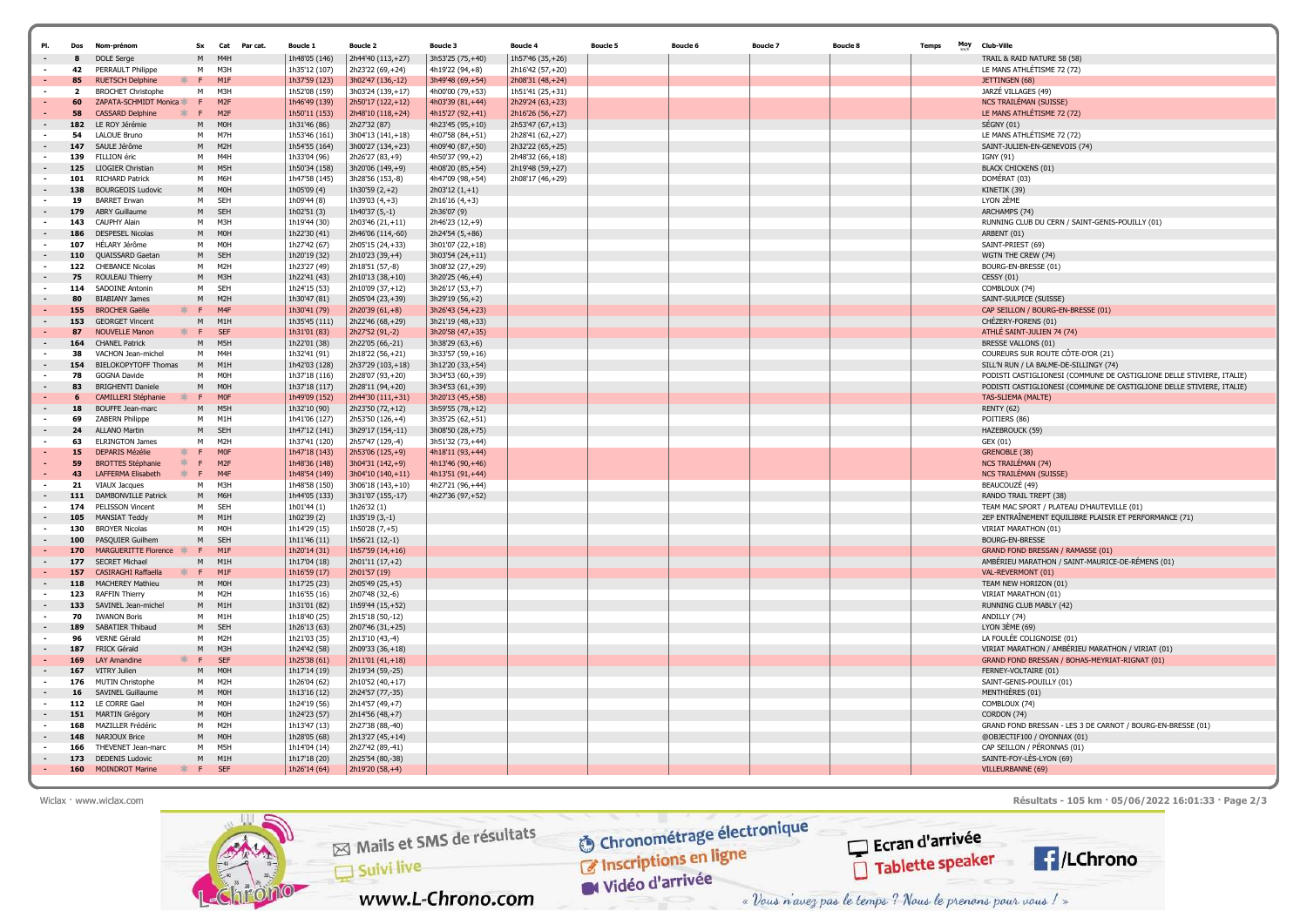| PI.                                | Dos                     | Nom-prénon                                          | <b>Sx</b>   | Cat Parcat.                        | <b>Boucle 1</b>                | <b>Boucle 2</b>                        | <b>Boucle 3</b>                      | <b>Boucle 4</b>                      | <b>Boucle 5</b> | Boucle 6 | <b>Boucle 7</b> | <b>Boucle 8</b> | Moy<br><b>Temps</b> | Club-Ville                                                             |
|------------------------------------|-------------------------|-----------------------------------------------------|-------------|------------------------------------|--------------------------------|----------------------------------------|--------------------------------------|--------------------------------------|-----------------|----------|-----------------|-----------------|---------------------|------------------------------------------------------------------------|
|                                    |                         |                                                     |             |                                    |                                |                                        |                                      |                                      |                 |          |                 |                 |                     |                                                                        |
|                                    | 42                      | DOLE Serge<br>PERRAULT Philippe                     | M<br>M      | M4 <sub>h</sub><br>M3H             | 1h48'05 (146)                  | 2h44'40 (113,+27)                      | 3h53'25 (75,+40)                     | 1h57'46 (35,+26)                     |                 |          |                 |                 |                     | TRAIL & RAID NATURE 58 (58)                                            |
|                                    | 85                      | <b>RUETSCH Delphine</b>                             | F.          | M <sub>1</sub> F                   | 1h35'12 (107)<br>1h37'59 (123) | 2h23'22 (69,+24)<br>3h02'47 (136,-12)  | 4h19'22 (94,+8)<br>3h49'48 (69,+54)  | 2h16'42 (57,+20)<br>2h08'31 (48,+24) |                 |          |                 |                 |                     | LE MANS ATHLÉTISME 72 (72)<br>JETTINGEN (68)                           |
| $\overline{\phantom{a}}$           | $\overline{\mathbf{2}}$ | <b>BROCHET Christophe</b>                           | M           | M3H                                | 1h52'08 (159)                  | 3h03'24 (139,+17)                      | 4h00'00 (79,+53)                     | 1h51'41 (25,+31)                     |                 |          |                 |                 |                     | JARZÉ VILLAGES (49)                                                    |
| $\sim$                             | 60                      | ZAPATA-SCHMIDT Monica *                             | E           | M <sub>2F</sub>                    | 1h46'49 (139)                  | 2h50'17 (122,+12)                      | 4h03'39 (81,+44)                     | 2h29'24 (63,+23)                     |                 |          |                 |                 |                     | NCS TRAILÉMAN (SUISSE)                                                 |
|                                    | 58                      | <b>CASSARD Delphine</b><br>$\frac{1}{2}$            | F.          | M <sub>2F</sub>                    | 1h50'11 (153)                  | 2h48'10 (118,+24)                      | 4h15'27 (92,+41)                     | 2h16'26 (56,+27)                     |                 |          |                 |                 |                     | LE MANS ATHLÉTISME 72 (72)                                             |
|                                    | 182                     | LE ROY Jérémie                                      | M           | <b>MOH</b>                         | 1h31'46 (86)                   | 2h27'32 (87)                           | 4h23'45 (95,+10)                     | 2h53'47 (67,+13)                     |                 |          |                 |                 |                     | SÉGNY(01)                                                              |
| $\sim$                             | 54                      | <b>LALOUE Bruno</b>                                 | M           | M7H                                | 1h53'46 (161)                  | 3h04'13 (141,+18)                      | 4h07'58 (84,+51)                     | 2h28'41 (62,+27)                     |                 |          |                 |                 |                     | LE MANS ATHLÉTISME 72 (72)                                             |
|                                    | 147                     | SAULE Jérôme                                        | M           | M <sub>2</sub> H                   | 1h54'55 (164)                  | 3h00'27 (134,+23)                      | 4h09'40 (87,+50)                     | 2h32'22 (65,+25)                     |                 |          |                 |                 |                     | SAINT-JULIEN-EN-GENEVOIS (74)                                          |
| $\sim$                             | 139                     | FILLION éric                                        | M           | M4H                                | 1h33'04 (96)                   | 2h26'27 (83,+9)                        | 4h50'37 (99,+2)                      | 2h48'32 (66,+18)                     |                 |          |                 |                 |                     | IGNY (91)                                                              |
|                                    | 125                     | <b>LIOGIER Christian</b>                            | M           | M5H                                | 1h50'34 (158)                  | 3h20'06 (149,+9)                       | 4h08'20 (85,+54)                     | 2h19'48 (59,+27)                     |                 |          |                 |                 |                     | <b>BLACK CHICKENS (01)</b>                                             |
| $\sim$                             | 101                     | <b>RICHARD Patrick</b>                              | M           | M6H                                | 1h47'58 (145)                  | 3h28'56 (153,-8)                       | 4h47'09 (98,+54)                     | 2h08'17 (46,+29)                     |                 |          |                 |                 |                     | DOMÉRAT (03)                                                           |
|                                    | 138                     | <b>BOURGEOIS Ludovic</b>                            | M           | <b>MOH</b>                         | 1h05'09 (4)                    | 1h30'59 $(2, +2)$                      | $2h03'12(1,+1)$                      |                                      |                 |          |                 |                 |                     | KINETIK (39)                                                           |
| $\sim$                             | 19                      | <b>BARRET Erwan</b>                                 | M           | <b>SEH</b>                         | 1h09'44 (8)                    | 1h39'03 $(4, +3)$                      | 2h16'16 (4,+3)                       |                                      |                 |          |                 |                 |                     | LYON 2ÈME                                                              |
| $\overline{\phantom{a}}$           | 179                     | <b>ABRY Guillaume</b>                               | M           | SEH                                | 1h02'51 (3)                    | 1h40'37 (5,-1)                         | 2h36'07 (9)                          |                                      |                 |          |                 |                 |                     | ARCHAMPS (74)                                                          |
| $\sim$                             | 143                     | CAUPHY Alain                                        | M           | M3H                                | 1h19'44 (30)                   | 2h03'46 (21,+11)                       | 2h46'23 (12,+9)                      |                                      |                 |          |                 |                 |                     | RUNNING CLUB DU CERN / SAINT-GENIS-POUILLY (01)                        |
|                                    | 186                     | DESPESEL Nicolas                                    | M           | M <sub>OH</sub>                    | 1h22'30 (41)                   | 2h46'06 (114,-60)                      | 2h24'54 (5,+86)                      |                                      |                 |          |                 |                 |                     | ARBENT (01)                                                            |
| $\sim$                             | 107                     | HÉLARY Jérôme                                       | М           | <b>MOH</b>                         | 1h27'42 (67)                   | 2h05'15 (24,+33)                       | 3h01'07 (22,+18)                     |                                      |                 |          |                 |                 |                     | SAINT-PRIEST (69)                                                      |
| $\overline{\phantom{a}}$           | 110                     | QUAISSARD Gaetan                                    | M           | SEH                                | 1h20'19 (32)                   | 2h10'23 (39,+4)                        | 3h03'54 (24,+11)                     |                                      |                 |          |                 |                 |                     | WGTN THE CREW (74)                                                     |
| $\sim$                             | 122                     | <b>CHEBANCE Nicolas</b>                             | M           | M2H                                | 1h23'27 (49)                   | 2h18'51 (57,-8)                        | 3h08'32 (27,+29)                     |                                      |                 |          |                 |                 |                     | BOURG-EN-BRESSE (01)                                                   |
| $\sim$                             | 75                      | ROULEAU Thierry                                     | M<br>M      | M3H<br>SEH                         | 1h22'41 (43)                   | 2h10'13 (38,+10)                       | 3h20'25 (46,+4)                      |                                      |                 |          |                 |                 |                     | CESSY (01)                                                             |
|                                    | 114<br>80               | SADOINE Antonin<br><b>BIABIANY James</b>            | M           | M <sub>2</sub> H                   | 1h24'15 (53)<br>1h30'47 (81)   | 2h10'09 (37,+12)<br>2h05'04 (23,+39)   | 3h26'17 (53,+7)<br>3h29'19 (56,+2)   |                                      |                 |          |                 |                 |                     | COMBLOUX (74)<br>SAINT-SULPICE (SUISSE)                                |
| ٠                                  | 155                     | <b>BROCHER Gaëlle</b><br>米                          | F.          | M4F                                | 1h30'41 (79)                   | 2h20'39 (61,+8)                        | 3h26'43 (54,+23)                     |                                      |                 |          |                 |                 |                     | CAP SEILLON / BOURG-EN-BRESSE (01)                                     |
| $\sim$                             | 153                     | <b>GEORGET Vincent</b>                              | M           | M <sub>1</sub> H                   | 1h35'45 (111)                  | 2h22'46 (68,+29)                       | 3h21'19 (48,+33)                     |                                      |                 |          |                 |                 |                     | CHÉZERY-FORENS (01)                                                    |
|                                    | 87                      | <b>NOUVELLE Manon</b><br>$\ast$                     | E           | <b>SEF</b>                         | 1h31'01 (83)                   | 2h27'52 (91,-2)                        | 3h20'58 (47,+35)                     |                                      |                 |          |                 |                 |                     | ATHLÉ SAINT-JULIEN 74 (74)                                             |
|                                    | 164                     | <b>CHANEL Patrick</b>                               | M           | M5H                                | 1h22'01 (38)                   | 2h22'05 (66,-21)                       | 3h38'29 (63,+6)                      |                                      |                 |          |                 |                 |                     | BRESSE VALLONS (01)                                                    |
| $\blacksquare$                     | 38                      | VACHON Jean-michel                                  | M           | M <sub>4H</sub>                    | 1h32'41 (91)                   | 2h18'22 (56,+21)                       | 3h33'57 (59,+16)                     |                                      |                 |          |                 |                 |                     | COUREURS SUR ROUTE CÔTE-D'OR (21)                                      |
| $\overline{\phantom{a}}$           | 154                     | BIELOKOPYTOFF Thomas                                | M           | M <sub>1</sub> H                   | 1h42'03 (128)                  | 2h37'29 (103,+18)                      | 3h12'20 (33,+54)                     |                                      |                 |          |                 |                 |                     | SILL'N RUN / LA BALME-DE-SILLINGY (74)                                 |
| $\sim$                             | 78                      | <b>GOGNA Davide</b>                                 | м           | <b>MOH</b>                         | 1h37'18 (116)                  | 2h28'07 (93,+20)                       | 3h34'53 (60,+39)                     |                                      |                 |          |                 |                 |                     | PODISTI CASTIGLIONESI (COMMUNE DE CASTIGLIONE DELLE STIVIERE, ITALIE)  |
|                                    | 83                      | <b>BRIGHENTI Daniele</b>                            | M           | <b>MOH</b>                         | 1h37'18 (117)                  | 2h28'11 (94,+20)                       | 3h34'53 (61,+39)                     |                                      |                 |          |                 |                 |                     | PODISTI CASTIGLIONESI (COMMUNE DE CASTIGLIONE DELLE STIVIERE, ITALIE)  |
|                                    | 6                       | <b>CAMILLERI Stéphanie</b><br>- 26                  | $\mathsf F$ | <b>MOF</b>                         | 1h49'09 (152)                  | 2h44'30 (111,+31)                      | 3h20'13 (45,+58)                     |                                      |                 |          |                 |                 |                     | TAS-SLIEMA (MALTE)                                                     |
|                                    | 18                      | <b>BOUFFE Jean-marc</b>                             | M           | M5H                                | 1h32'10 (90)                   | 2h23'50 (72,+12)                       | 3h59'55 (78,+12)                     |                                      |                 |          |                 |                 |                     | <b>RENTY (62)</b>                                                      |
| $\sim$                             | 69                      | ZABERN Philippe                                     | M           | M <sub>1</sub> H                   | 1h41'06 (127)                  | 2h53'50 (126,+4)                       | 3h35'25 (62,+51)                     |                                      |                 |          |                 |                 |                     | POITIERS (86)                                                          |
| $\overline{\phantom{a}}$           | 24                      | <b>ALLANO Martin</b>                                | M           | SEH                                | 1h47'12 (141)                  | 3h29'17 (154,-11)                      | 3h08'50 (28,+75)                     |                                      |                 |          |                 |                 |                     | <b>HAZEBROUCK (59</b>                                                  |
| $\sim$                             | 63                      | <b>ELRINGTON James</b>                              | M           | M <sub>2</sub> H                   | 1h37'41 (120)                  | 2h57'47 (129,-4)                       | 3h51'32 (73,+44)                     |                                      |                 |          |                 |                 |                     | GEX (01)                                                               |
|                                    | 15                      | <b>DEPARTS Mézélie</b>                              | F.          | MOF                                | 1h47'18 (143)                  | 2h53'06 (125,+9)                       | 4h18'11 (93,+44)                     |                                      |                 |          |                 |                 |                     | <b>GRENOBLE (38</b>                                                    |
|                                    | 59<br>43                | $\ast$<br><b>BROTTES Stéphanie</b><br>$\frac{1}{2}$ | F.          | M <sub>2F</sub><br>M <sub>4F</sub> | 1h48'36 (148)                  | 3h04'31 (142,+9)                       | 4h13'46 (90,+46)                     |                                      |                 |          |                 |                 |                     | NCS TRAILÉMAN (74                                                      |
| $\overline{\phantom{a}}$<br>$\sim$ | 21                      | LAFFERMA Elisabeth<br>VIAUX Jacques                 | F.<br>M     | M3H                                | 1h48'54 (149)                  | 3h04'10 (140,+11)                      | 4h13'51 (91,+44)                     |                                      |                 |          |                 |                 |                     | NCS TRAILÉMAN (SUISSE)<br>BEAUCOUZÉ (49)                               |
|                                    | 111                     | <b>DAMBONVILLE Patrick</b>                          | M           | M6H                                | 1h48'58 (150)<br>1h44'05 (133) | 3h06'18 (143,+10)<br>3h31'07 (155,-17) | 4h27'21 (96,+44)<br>4h27'36 (97,+52) |                                      |                 |          |                 |                 |                     | RANDO TRAIL TREPT (38)                                                 |
| $\sim$                             | 174                     | PELISSON Vincent                                    | M           | SEH                                | 1h01'44 (1)                    | 1h26'32 (1)                            |                                      |                                      |                 |          |                 |                 |                     | TEAM MAC SPORT / PLATEAU D'HAUTEVILLE (01)                             |
|                                    | 105                     | MANSIAT Teddy                                       | M           | M <sub>1</sub> H                   | 1h02'39 (2)                    | $1h35'19(3,-1)$                        |                                      |                                      |                 |          |                 |                 |                     | 2EP ENTRAÎNEMENT EQUILIBRE PLAISIR ET PERFORMANCE (71)                 |
| $\sim$                             | 130                     | <b>BROYER Nicolas</b>                               | м           | <b>MOH</b>                         | 1h14'29 (15)                   | 1h50'28 (7,+5)                         |                                      |                                      |                 |          |                 |                 |                     | VIRIAT MARATHON (01)                                                   |
| $\sim$                             | 100                     | PASQUIER Guilhem                                    | M           | SEH                                | 1h11'46 (11)                   | 1h56'21 (12,-1)                        |                                      |                                      |                 |          |                 |                 |                     | <b>BOURG-EN-BRESSE</b>                                                 |
|                                    | 170                     | MARGUERITTE Florence *                              | F.          | M1F                                | 1h20'14 (31)                   | $1h57'59(14,+16)$                      |                                      |                                      |                 |          |                 |                 |                     | GRAND FOND BRESSAN / RAMASSE (01)                                      |
|                                    | 177                     | <b>SECRET Michael</b>                               | M           | M <sub>1</sub> H                   | 1h17'04 (18)                   | 2h01'11 (17,+2)                        |                                      |                                      |                 |          |                 |                 |                     | AMBÉRIEU MARATHON / SAINT-MAURICE-DE-RÉMENS (01)                       |
|                                    | 157                     | CASIRAGHI Raffaella                                 | F           | M <sub>1</sub> F                   | 1h16'59 (17)                   | 2h01'57 (19)                           |                                      |                                      |                 |          |                 |                 |                     | VAL-REVERMONT (01)                                                     |
| $\overline{\phantom{a}}$           | 118                     | <b>MACHEREY Mathieu</b>                             | M           | <b>MOH</b>                         | 1h17'25 (23)                   | 2h05'49 (25,+5)                        |                                      |                                      |                 |          |                 |                 |                     | TEAM NEW HORIZON (01)                                                  |
| $\sim$                             | 123                     | <b>RAFFIN Thierry</b>                               | М           | M2H                                | 1h16'55 (16)                   | 2h07'48 (32,-6)                        |                                      |                                      |                 |          |                 |                 |                     | VIRIAT MARATHON (01)                                                   |
|                                    | 133                     | SAVINEL Jean-michel                                 | M           | M1H                                | 1h31'01 (82)                   | 1h59'44 (15,+52)                       |                                      |                                      |                 |          |                 |                 |                     | RUNNING CLUB MABLY (42)                                                |
| $\blacksquare$                     | 70                      | <b>IWANON Boris</b>                                 | M           | M1H                                | 1h18'40 (25)                   | 2h15'18 (50,-12)                       |                                      |                                      |                 |          |                 |                 |                     | ANDILLY (74)                                                           |
|                                    | 189                     | SABATIER Thibaud                                    | M           | SEH                                | 1h26'13 (63)                   | 2h07'46 (31,+25)                       |                                      |                                      |                 |          |                 |                 |                     | LYON $3$ <sub>E</sub> ME (69)                                          |
| $\sim$                             | 96                      | VERNE Gérald                                        | м           | M <sub>2</sub> H                   | 1h21'03 (35)                   | 2h13'10 (43,-4)                        |                                      |                                      |                 |          |                 |                 |                     | LA FOULÉE COLIGNOISE (01)                                              |
| $\sim$                             | 187<br>169              | <b>FRICK Gérald</b><br>坐<br><b>LAY Amandine</b>     | M<br>E      | M3H<br><b>SEF</b>                  | 1h24'42 (58)                   | 2h09'33 (36,+18)                       |                                      |                                      |                 |          |                 |                 |                     | VIRIAT MARATHON / AMBÉRIEU MARATHON / VIRIAT (01)                      |
|                                    | 167                     | VITRY Julien                                        | M           | <b>MOH</b>                         | 1h25'38 (61)<br>1h17'14 (19)   | 2h11'01 (41,+18)<br>2h19'34 (59,-25)   |                                      |                                      |                 |          |                 |                 |                     | GRAND FOND BRESSAN / BOHAS-MEYRIAT-RIGNAT (01)<br>FERNEY-VOLTAIRE (01) |
| $\sim$                             | 176                     | MUTIN Christophe                                    | M           | M2H                                | 1h26'04 (62)                   | 2h10'52 (40,+17)                       |                                      |                                      |                 |          |                 |                 |                     | SAINT-GENIS-POUILLY (01)                                               |
| $\overline{\phantom{a}}$           | 16                      | SAVINEL Guillaume                                   | M           | MOH                                | 1h13'16 (12)                   | 2h24'57 (77,-35)                       |                                      |                                      |                 |          |                 |                 |                     | MENTHIÈRES (01)                                                        |
| $\sim$                             | 112                     | LE CORRE Gael                                       | м           | <b>MOH</b>                         | 1h24'19 (56)                   | 2h14'57 (49,+7)                        |                                      |                                      |                 |          |                 |                 |                     | COMBLOUX (74)                                                          |
|                                    | 151                     | <b>MARTIN Grégory</b>                               | M           | M <sub>OH</sub>                    | 1h24'23 (57)                   | 2h14'56 (48,+7)                        |                                      |                                      |                 |          |                 |                 |                     | CORDON (74)                                                            |
|                                    | 168                     | MAZILLER Frédéric                                   | M           | M <sub>2</sub> H                   | 1h13'47 (13)                   | 2h27'38 (88,-40)                       |                                      |                                      |                 |          |                 |                 |                     | GRAND FOND BRESSAN - LES 3 DE CARNOT / BOURG-EN-BRESSE (01)            |
|                                    | 148                     | NARJOUX Brice                                       | M           | <b>MOH</b>                         | 1h28'05 (68)                   | 2h13'27 (45,+14)                       |                                      |                                      |                 |          |                 |                 |                     | @OBJECTIF100 / OYONNAX (01)                                            |
| $\sim$                             | 166                     | THEVENET Jean-marg                                  | м           | M5H                                | 1h14'04 (14)                   | 2h27'42 (89,-41)                       |                                      |                                      |                 |          |                 |                 |                     | CAP SEILLON / PÉRONNAS (01)                                            |
| $\sim$                             | 173                     | <b>DEDENIS Ludovic</b>                              | M           | M <sub>1</sub> H                   | 1h17'18 (20)                   | 2h25'54 (80,-38)                       |                                      |                                      |                 |          |                 |                 |                     | SAINTE-FOY-LÈS-LYON (69)                                               |
|                                    | 160                     | <b>MOINDROT Marine</b><br>士                         | F.          | SFF                                | 1h26'14 (64)                   | 2h19'20 (58,+4)                        |                                      |                                      |                 |          |                 |                 |                     | VILLEURBANNE (69)                                                      |

Wiclax · www.wiclax.com **Résultats - 105 km · 05/06/2022 16:01:33 · Page 2/3**